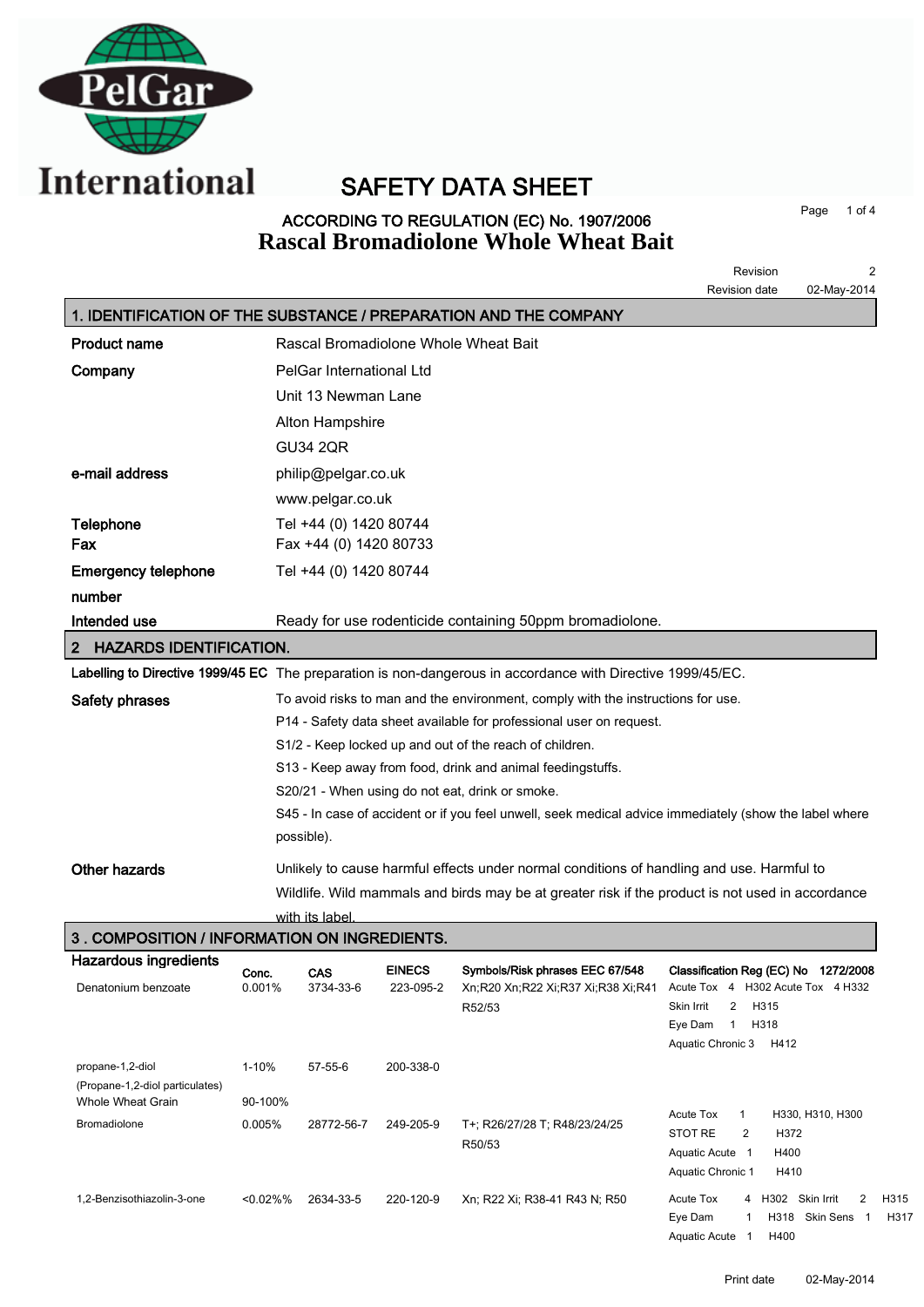

# SAFETY DATA SHEET

### ACCORDING TO REGULATION (EC) No. 1907/2006 **Rascal Bromadiolone Whole Wheat Bait**

Page 1 of 4

|                                                                              |                 |                          |                            |                                                                                                             | 2<br>Revision<br>Revision date<br>02-May-2014                                                          |
|------------------------------------------------------------------------------|-----------------|--------------------------|----------------------------|-------------------------------------------------------------------------------------------------------------|--------------------------------------------------------------------------------------------------------|
|                                                                              |                 |                          |                            | 1. IDENTIFICATION OF THE SUBSTANCE / PREPARATION AND THE COMPANY                                            |                                                                                                        |
| <b>Product name</b>                                                          |                 |                          |                            | Rascal Bromadiolone Whole Wheat Bait                                                                        |                                                                                                        |
| Company                                                                      |                 | PelGar International Ltd |                            |                                                                                                             |                                                                                                        |
|                                                                              |                 | Unit 13 Newman Lane      |                            |                                                                                                             |                                                                                                        |
|                                                                              |                 | Alton Hampshire          |                            |                                                                                                             |                                                                                                        |
|                                                                              |                 | <b>GU34 2QR</b>          |                            |                                                                                                             |                                                                                                        |
| e-mail address                                                               |                 | philip@pelgar.co.uk      |                            |                                                                                                             |                                                                                                        |
|                                                                              |                 | www.pelgar.co.uk         |                            |                                                                                                             |                                                                                                        |
| Telephone                                                                    |                 | Tel +44 (0) 1420 80744   |                            |                                                                                                             |                                                                                                        |
| Fax                                                                          |                 | Fax +44 (0) 1420 80733   |                            |                                                                                                             |                                                                                                        |
| <b>Emergency telephone</b>                                                   |                 | Tel +44 (0) 1420 80744   |                            |                                                                                                             |                                                                                                        |
| number                                                                       |                 |                          |                            |                                                                                                             |                                                                                                        |
| Intended use                                                                 |                 |                          |                            | Ready for use rodenticide containing 50ppm bromadiolone.                                                    |                                                                                                        |
| <b>HAZARDS IDENTIFICATION.</b><br>2                                          |                 |                          |                            |                                                                                                             |                                                                                                        |
|                                                                              |                 |                          |                            | Labelling to Directive 1999/45 EC The preparation is non-dangerous in accordance with Directive 1999/45/EC. |                                                                                                        |
| <b>Safety phrases</b>                                                        |                 |                          |                            | To avoid risks to man and the environment, comply with the instructions for use.                            |                                                                                                        |
|                                                                              |                 |                          |                            | P14 - Safety data sheet available for professional user on request.                                         |                                                                                                        |
|                                                                              |                 |                          |                            | S1/2 - Keep locked up and out of the reach of children.                                                     |                                                                                                        |
|                                                                              |                 |                          |                            | S13 - Keep away from food, drink and animal feedingstuffs.                                                  |                                                                                                        |
|                                                                              |                 |                          |                            | S20/21 - When using do not eat, drink or smoke.                                                             |                                                                                                        |
|                                                                              |                 |                          |                            |                                                                                                             | S45 - In case of accident or if you feel unwell, seek medical advice immediately (show the label where |
|                                                                              |                 | possible).               |                            |                                                                                                             |                                                                                                        |
| <b>Other hazards</b>                                                         |                 |                          |                            | Unlikely to cause harmful effects under normal conditions of handling and use. Harmful to                   |                                                                                                        |
|                                                                              |                 |                          |                            | Wildlife. Wild mammals and birds may be at greater risk if the product is not used in accordance            |                                                                                                        |
|                                                                              |                 | with its label           |                            |                                                                                                             |                                                                                                        |
| 3. COMPOSITION / INFORMATION ON INGREDIENTS.<br><b>Hazardous ingredients</b> |                 |                          |                            |                                                                                                             |                                                                                                        |
| Denatonium benzoate                                                          | Conc.<br>0.001% | <b>CAS</b><br>3734-33-6  | <b>EINECS</b><br>223-095-2 | Symbols/Risk phrases EEC 67/548<br>Xn;R20 Xn;R22 Xi;R37 Xi;R38 Xi;R41                                       | Classification Reg (EC) No 1272/2008<br>Acute Tox 4 H302 Acute Tox 4 H332                              |
|                                                                              |                 |                          |                            | R52/53                                                                                                      | Skin Irrit<br>2<br>H315                                                                                |
|                                                                              |                 |                          |                            |                                                                                                             | Eye Dam<br>$\overline{1}$<br>H318                                                                      |
|                                                                              |                 |                          |                            |                                                                                                             | Aquatic Chronic 3<br>H412                                                                              |
| propane-1,2-diol<br>(Propane-1,2-diol particulates)                          | $1 - 10%$       | 57-55-6                  | 200-338-0                  |                                                                                                             |                                                                                                        |
| Whole Wheat Grain                                                            | 90-100%         |                          |                            |                                                                                                             |                                                                                                        |
| <b>Bromadiolone</b>                                                          | 0.005%          | 28772-56-7               | 249-205-9                  | T+; R26/27/28 T; R48/23/24/25                                                                               | <b>Acute Tox</b><br>H330, H310, H300<br>$\mathbf{1}$<br>STOT RE<br>2<br>H372                           |
|                                                                              |                 |                          |                            | R50/53                                                                                                      | Aquatic Acute 1<br>H400                                                                                |
|                                                                              |                 |                          |                            |                                                                                                             | Aquatic Chronic 1<br>H410                                                                              |
| 1,2-Benzisothiazolin-3-one                                                   | <0.02%%         | 2634-33-5                | 220-120-9                  | Xn; R22 Xi; R38-41 R43 N; R50                                                                               | 4 H302 Skin Irrit<br>2<br>H315<br>Acute Tox<br>Eve Dam<br>H318 Skin Sens 1 H317<br>$\mathbf{1}$        |

Aquatic Acute 1 H400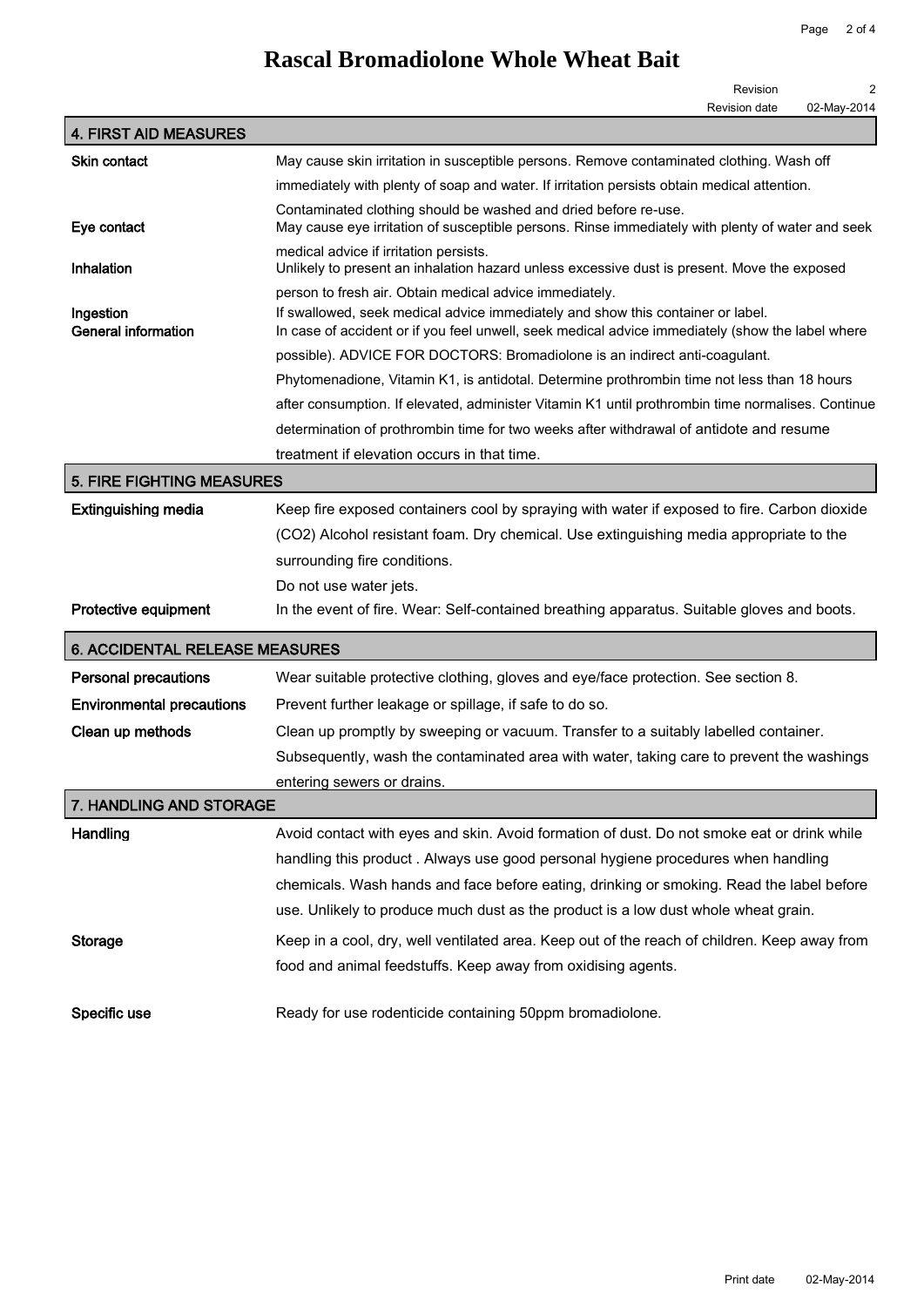## **Rascal Bromadiolone Whole Wheat Bait**

|             | Revision             |
|-------------|----------------------|
| 02-May-2014 | <b>Revision date</b> |

|                                         | <b>INGVISION GALG</b><br>∪∠-iviay-∠∪ i <del>4</del>                                                                                                                                 |  |  |
|-----------------------------------------|-------------------------------------------------------------------------------------------------------------------------------------------------------------------------------------|--|--|
| <b>4. FIRST AID MEASURES</b>            |                                                                                                                                                                                     |  |  |
| Skin contact                            | May cause skin irritation in susceptible persons. Remove contaminated clothing. Wash off                                                                                            |  |  |
|                                         | immediately with plenty of soap and water. If irritation persists obtain medical attention.                                                                                         |  |  |
| Eye contact                             | Contaminated clothing should be washed and dried before re-use.<br>May cause eye irritation of susceptible persons. Rinse immediately with plenty of water and seek                 |  |  |
| Inhalation                              | medical advice if irritation persists.<br>Unlikely to present an inhalation hazard unless excessive dust is present. Move the exposed                                               |  |  |
|                                         | person to fresh air. Obtain medical advice immediately.                                                                                                                             |  |  |
| Ingestion<br><b>General information</b> | If swallowed, seek medical advice immediately and show this container or label.<br>In case of accident or if you feel unwell, seek medical advice immediately (show the label where |  |  |
|                                         | possible). ADVICE FOR DOCTORS: Bromadiolone is an indirect anti-coagulant.                                                                                                          |  |  |
|                                         | Phytomenadione, Vitamin K1, is antidotal. Determine prothrombin time not less than 18 hours                                                                                         |  |  |
|                                         | after consumption. If elevated, administer Vitamin K1 until prothrombin time normalises. Continue                                                                                   |  |  |
|                                         | determination of prothrombin time for two weeks after withdrawal of antidote and resume                                                                                             |  |  |
|                                         | treatment if elevation occurs in that time.                                                                                                                                         |  |  |
| <b>5. FIRE FIGHTING MEASURES</b>        |                                                                                                                                                                                     |  |  |
| <b>Extinguishing media</b>              | Keep fire exposed containers cool by spraying with water if exposed to fire. Carbon dioxide                                                                                         |  |  |
|                                         | (CO2) Alcohol resistant foam. Dry chemical. Use extinguishing media appropriate to the                                                                                              |  |  |
|                                         | surrounding fire conditions.                                                                                                                                                        |  |  |
|                                         | Do not use water jets.                                                                                                                                                              |  |  |
| <b>Protective equipment</b>             | In the event of fire. Wear: Self-contained breathing apparatus. Suitable gloves and boots.                                                                                          |  |  |
| <b>6. ACCIDENTAL RELEASE MEASURES</b>   |                                                                                                                                                                                     |  |  |
| <b>Personal precautions</b>             | Wear suitable protective clothing, gloves and eye/face protection. See section 8.                                                                                                   |  |  |
| <b>Environmental precautions</b>        | Prevent further leakage or spillage, if safe to do so.                                                                                                                              |  |  |
| Clean up methods                        | Clean up promptly by sweeping or vacuum. Transfer to a suitably labelled container.                                                                                                 |  |  |
|                                         | Subsequently, wash the contaminated area with water, taking care to prevent the washings                                                                                            |  |  |
|                                         | entering sewers or drains.                                                                                                                                                          |  |  |
| 7. HANDLING AND STORAGE                 |                                                                                                                                                                                     |  |  |
| Handling                                | Avoid contact with eyes and skin. Avoid formation of dust. Do not smoke eat or drink while                                                                                          |  |  |
|                                         | handling this product. Always use good personal hygiene procedures when handling                                                                                                    |  |  |
|                                         | chemicals. Wash hands and face before eating, drinking or smoking. Read the label before                                                                                            |  |  |
|                                         |                                                                                                                                                                                     |  |  |
|                                         | use. Unlikely to produce much dust as the product is a low dust whole wheat grain.                                                                                                  |  |  |
| Storage                                 | Keep in a cool, dry, well ventilated area. Keep out of the reach of children. Keep away from                                                                                        |  |  |
|                                         | food and animal feedstuffs. Keep away from oxidising agents.                                                                                                                        |  |  |
|                                         |                                                                                                                                                                                     |  |  |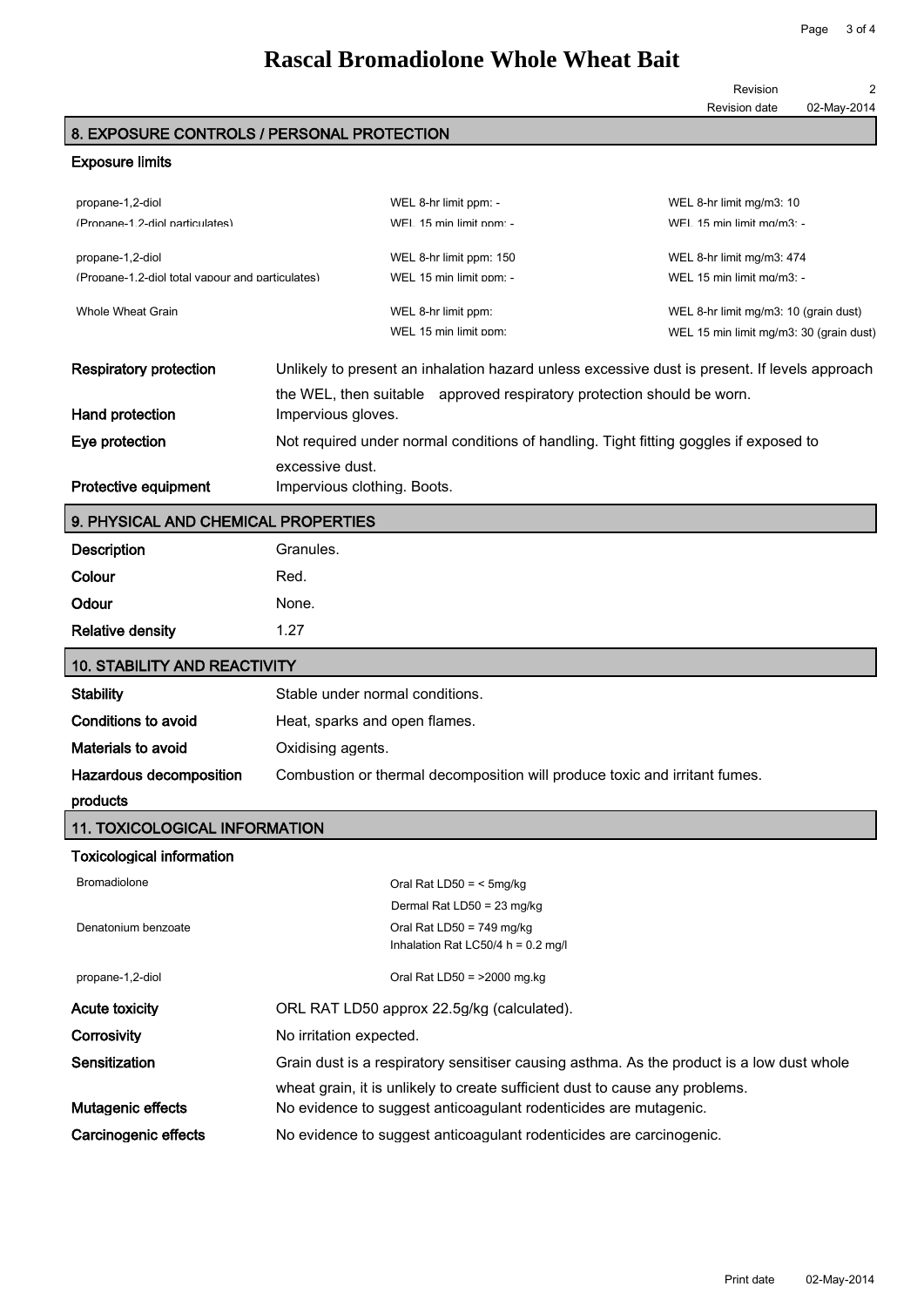### **Rascal Bromadiolone Whole Wheat Bait**

Revision 2

#### Revision date 02-May-2014

### 8. EXPOSURE CONTROLS / PERSONAL PROTECTION

#### Exposure limits

| propane-1,2-diol                                                                                        |                             | WEL 8-hr limit ppm: -                                                                         | WEL 8-hr limit mg/m3: 10                |
|---------------------------------------------------------------------------------------------------------|-----------------------------|-----------------------------------------------------------------------------------------------|-----------------------------------------|
| (Propane-1 2-diol particulates)                                                                         |                             | WFI 15 min limit nom -                                                                        | WFI 15 min limit ma/m3 $\cdot$ -        |
| propane-1,2-diol                                                                                        |                             | WEL 8-hr limit ppm: 150                                                                       | WEL 8-hr limit mg/m3: 474               |
| (Propane-1.2-diol total vapour and particulates)                                                        |                             | WEL 15 min limit ppm: -                                                                       | WEL 15 min limit mg/m3: -               |
|                                                                                                         |                             |                                                                                               |                                         |
| Whole Wheat Grain                                                                                       |                             | WEL 8-hr limit ppm:                                                                           | WEL 8-hr limit mg/m3: 10 (grain dust)   |
|                                                                                                         |                             | WEL 15 min limit ppm:                                                                         | WEL 15 min limit mg/m3: 30 (grain dust) |
| <b>Respiratory protection</b>                                                                           |                             | Unlikely to present an inhalation hazard unless excessive dust is present. If levels approach |                                         |
|                                                                                                         |                             | the WEL, then suitable approved respiratory protection should be worn.                        |                                         |
| Hand protection                                                                                         | Impervious gloves.          |                                                                                               |                                         |
| Not required under normal conditions of handling. Tight fitting goggles if exposed to<br>Eye protection |                             |                                                                                               |                                         |
|                                                                                                         | excessive dust.             |                                                                                               |                                         |
| Protective equipment                                                                                    | Impervious clothing. Boots. |                                                                                               |                                         |

#### 9. PHYSICAL AND CHEMICAL PROPERTIES

| Description             | Granules. |
|-------------------------|-----------|
| Colour                  | Red.      |
| Odour                   | None.     |
| <b>Relative density</b> | 1.27      |
|                         |           |

| 10. STABILITY AND REACTIVITY |                                                                            |  |
|------------------------------|----------------------------------------------------------------------------|--|
| <b>Stability</b>             | Stable under normal conditions.                                            |  |
| Conditions to avoid          | Heat, sparks and open flames.                                              |  |
| Materials to avoid           | Oxidising agents.                                                          |  |
| Hazardous decomposition      | Combustion or thermal decomposition will produce toxic and irritant fumes. |  |
|                              |                                                                            |  |

#### products

#### 11. TOXICOLOGICAL INFORMATION

#### Toxicological information

| <b>Bromadiolone</b>   | Oral Rat LD50 = $<$ 5mg/kg                                                                |
|-----------------------|-------------------------------------------------------------------------------------------|
|                       | Dermal Rat LD50 = 23 mg/kg                                                                |
| Denatonium benzoate   | Oral Rat LD50 = $749 \text{ mg/kg}$                                                       |
|                       | Inhalation Rat LC50/4 $h = 0.2$ mg/l                                                      |
| propane-1,2-diol      | Oral Rat LD50 = $>2000$ mg.kg                                                             |
| <b>Acute toxicity</b> | ORL RAT LD50 approx 22.5g/kg (calculated).                                                |
| Corrosivity           | No irritation expected.                                                                   |
| Sensitization         | Grain dust is a respiratory sensitiser causing asthma. As the product is a low dust whole |
|                       | wheat grain, it is unlikely to create sufficient dust to cause any problems.              |
| Mutagenic effects     | No evidence to suggest anticoagulant rodenticides are mutagenic.                          |
| Carcinogenic effects  | No evidence to suggest anticoagulant rodenticides are carcinogenic.                       |